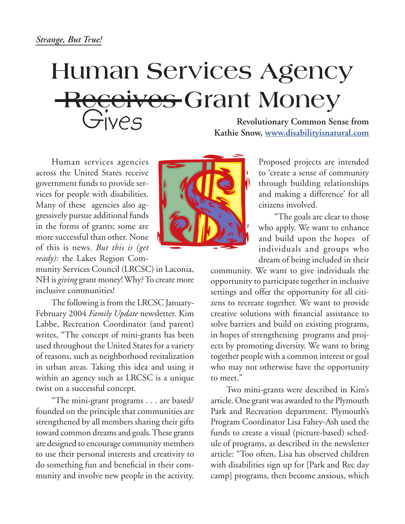## **Human Services Agency Receives Grant Money** Gives

**Revolutionary Common Sense from Kathie Snow, www.disabilityisnatural.com**

Human services agencies across the United States receive government funds to provide services for people with disabilities. Many of these agencies also aggressively pursue additional funds in the forms of grants; some are more successful than other. None of this is news. *But this is (get ready):* the Lakes Region Com-

munity Services Council (LRCSC) in Laconia, NH is *giving* grant money! Why? To create more inclusive communities!

The following is from the LRCSC January-February 2004 *Family Update* newsletter. Kim Labbe, Recreation Coordinator (and parent) writes, "The concept of mini-grants has been used throughout the United States for a variety of reasons, such as neighborhood revitalization in urban areas. Taking this idea and using it within an agency such as LRCSC is a unique twist on a successful concept.

"The mini-grant programs . . . are based/ founded on the principle that communities are strengthened by all members sharing their gifts toward common dreams and goals. These grants are designed to encourage community members to use their personal interests and creativity to do something fun and beneficial in their community and involve new people in the activity.



Proposed projects are intended to 'create a sense of community through building relationships and making a difference' for all citizens involved.

"The goals are clear to those who apply. We want to enhance and build upon the hopes of individuals and groups who dream of being included in their

community. We want to give individuals the opportunity to participate together in inclusive settings and offer the opportunity for all citizens to recreate together. We want to provide creative solutions with financial assistance to solve barriers and build on existing programs, in hopes of strengthening programs and projects by promoting diversity. We want to bring together people with a common interest or goal who may not otherwise have the opportunity to meet."

Two mini-grants were described in Kim's article. One grant was awarded to the Plymouth Park and Recreation department. Plymouth's Program Coordinator Lisa Fahey-Ash used the funds to create a visual (picture-based) schedule of programs, as described in the newsletter article: "Too often, Lisa has observed children with disabilities sign up for [Park and Rec day camp] programs, then become anxious, which